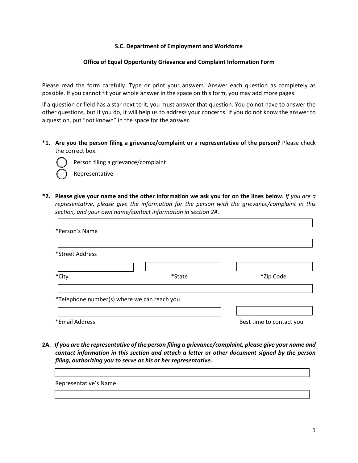## **S.C. Department of Employment and Workforce**

## **Office of Equal Opportunity Grievance and Complaint Information Form**

Please read the form carefully. Type or print your answers. Answer each question as completely as possible. If you cannot fit your whole answer in the space on this form, you may add more pages.

If a question or field has a star next to it, you must answer that question. You do not have to answer the other questions, but if you do, it will help us to address your concerns. If you do not know the answer to a question, put "not known" in the space for the answer.

**\*1. Are you the person filing a grievance/complaint or a representative of the person?** Please check the correct box.



Person filing a grievance/complaint

Representative

**\*2. Please give your name and the other information we ask you for on the lines below.** *If you are a representative, please give the information for the person with the grievance/complaint in this section, and your own name/contact information in section 2A.*

| *Person's Name                              |        |                          |
|---------------------------------------------|--------|--------------------------|
|                                             |        |                          |
| *Street Address                             |        |                          |
|                                             |        |                          |
| *City                                       | *State | *Zip Code                |
|                                             |        |                          |
| *Telephone number(s) where we can reach you |        |                          |
|                                             |        |                          |
| *Email Address                              |        | Best time to contact you |

**2A.** *If you are the representative of the person filing a grievance/complaint, please give your name and contact information in this section and attach a letter or other document signed by the person filing, authorizing you to serve as his or her representative.*

| Representative's Name |  |
|-----------------------|--|
|                       |  |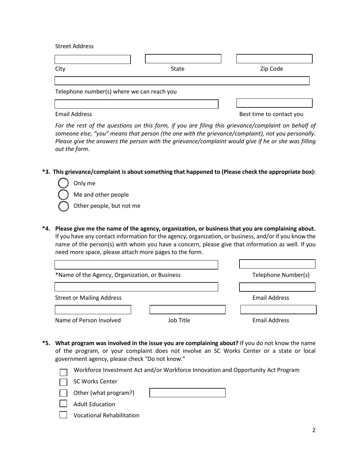Street Address

| City                                       | State | Zip Code |  |  |  |
|--------------------------------------------|-------|----------|--|--|--|
|                                            |       |          |  |  |  |
| Telephone number(s) where we can reach you |       |          |  |  |  |
|                                            |       |          |  |  |  |

Email Address **Best time to contact you** 

*For the rest of the questions on this form, if you are filing this grievance/complaint on behalf of someone else, "you" means that person (the one with the grievance/complaint), not you personally. Please give the answers the person with the grievance/complaint would give if he or she was filling out the form.*

**\*3. This grievance/complaint is about something that happened to (Please check the appropriate box):**

Only me Me and other people Other people, but not me

**\*4. Please give me the name of the agency, organization, or business that you are complaining about.**  If you have any contact information for the agency, organization, or business, and/or if you know the name of the person(s) with whom you have a concern, please give that information as well. If you need more space, please attach more pages to the form.

| *Name of the Agency, Organization, or Business |           | Telephone Number(s)  |
|------------------------------------------------|-----------|----------------------|
|                                                |           |                      |
| <b>Street or Mailing Address</b>               |           | <b>Email Address</b> |
|                                                |           |                      |
| Name of Person Involved                        | Job Title | <b>Email Address</b> |

**\*5. What program was involved in the issue you are complaining about?** If you do not know the name of the program, or your complaint does not involve an SC Works Center or a state or local government agency, please check "Do not know."



Vocational Rehabilitation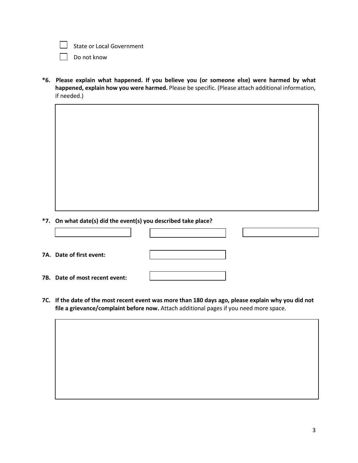

State or Local Government

Do not know

**\*6. Please explain what happened. If you believe you (or someone else) were harmed by what happened, explain how you were harmed.** Please be specific. (Please attach additional information, if needed.)

**\*7. On what date(s) did the event(s) you described take place?**

| 7A. Date of first event:       |  |  |
|--------------------------------|--|--|
| 7B. Date of most recent event: |  |  |

**7C. If the date of the most recent event was more than 180 days ago, please explain why you did not file a grievance/complaint before now.** Attach additional pages if you need more space.